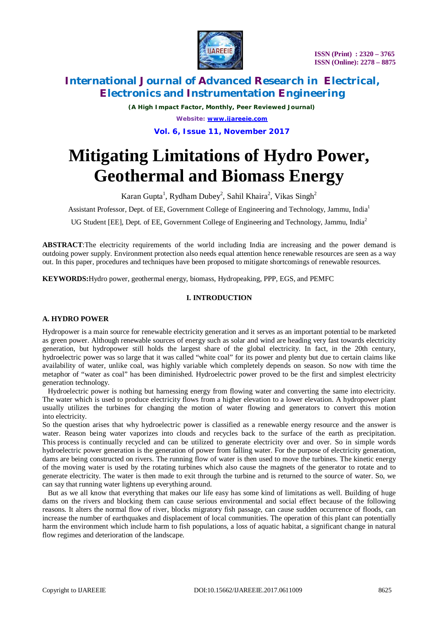

# **International Journal of Advanced Research in Electrical, Electronics and Instrumentation Engineering**

*(A High Impact Factor, Monthly, Peer Reviewed Journal) Website: [www.ijareeie.com](http://www.ijareeie.com)* **Vol. 6, Issue 11, November 2017**

# **Mitigating Limitations of Hydro Power, Geothermal and Biomass Energy**

Karan Gupta<sup>1</sup>, Rydham Dubey<sup>2</sup>, Sahil Khaira<sup>2</sup>, Vikas Singh<sup>2</sup>

Assistant Professor, Dept. of EE, Government College of Engineering and Technology, Jammu, India<sup>1</sup>

UG Student [EE], Dept. of EE, Government College of Engineering and Technology, Jammu, India<sup>2</sup>

**ABSTRACT**:The electricity requirements of the world including India are increasing and the power demand is outdoing power supply. Environment protection also needs equal attention hence renewable resources are seen as a way out. In this paper, procedures and techniques have been proposed to mitigate shortcomings of renewable resources.

**KEYWORDS:**Hydro power, geothermal energy, biomass, Hydropeaking, PPP, EGS, and PEMFC

# **I. INTRODUCTION**

### **A. HYDRO POWER**

Hydropower is a main source for renewable electricity generation and it serves as an important potential to be marketed as green power. Although renewable sources of energy such as solar and wind are heading very fast towards electricity generation, but hydropower still holds the largest share of the global electricity. In fact, in the 20th century, hydroelectric power was so large that it was called "white coal" for its power and plenty but due to certain claims like availability of water, unlike coal, was highly variable which completely depends on season. So now with time the metaphor of "water as coal" has been diminished. Hydroelectric power proved to be the first and simplest electricity generation technology.

 Hydroelectric power is nothing but harnessing energy from flowing water and converting the same into electricity. The water which is used to produce electricity flows from a higher elevation to a lower elevation. A hydropower plant usually utilizes the turbines for changing the motion of water flowing and generators to convert this motion into electricity.

So the question arises that why hydroelectric power is classified as a renewable energy resource and the answer is water. Reason being water vaporizes into clouds and recycles back to the surface of the earth as precipitation. This process is continually recycled and can be utilized to generate electricity over and over. So in simple words hydroelectric power generation is the generation of power from falling water. For the purpose of electricity generation, dams are being constructed on rivers. The running flow of water is then used to move the turbines. The kinetic energy of the moving water is used by the rotating turbines which also cause the magnets of the generator to rotate and to generate electricity. The water is then made to exit through the turbine and is returned to the source of water. So, we can say that running water lightens up everything around.

 But as we all know that everything that makes our life easy has some kind of limitations as well. Building of huge dams on the rivers and blocking them can cause serious environmental and social effect because of the following reasons. It alters the normal flow of river, blocks migratory fish passage, can cause sudden occurrence of floods, can increase the number of earthquakes and displacement of local communities. The operation of this plant can potentially harm the environment which include harm to fish populations, a loss of aquatic habitat, a significant change in natural flow regimes and deterioration of the landscape.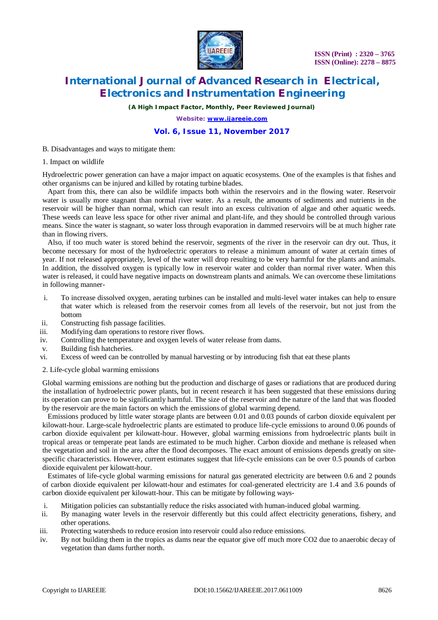

# **International Journal of Advanced Research in Electrical, Electronics and Instrumentation Engineering**

*(A High Impact Factor, Monthly, Peer Reviewed Journal)*

*Website: [www.ijareeie.com](http://www.ijareeie.com)*

# **Vol. 6, Issue 11, November 2017**

B. Disadvantages and ways to mitigate them:

#### 1. Impact on wildlife

Hydroelectric power generation can have a major impact on aquatic ecosystems. One of the examples is that fishes and other organisms can be injured and killed by rotating turbine blades.

 Apart from this, there can also be wildlife impacts both within the reservoirs and in the flowing water. Reservoir water is usually more stagnant than normal river water. As a result, the amounts of sediments and nutrients in the reservoir will be higher than normal, which can result into an excess cultivation of algae and other aquatic weeds. These weeds can leave less space for other river animal and plant-life, and they should be controlled through various means. Since the water is stagnant, so water loss through evaporation in dammed reservoirs will be at much higher rate than in flowing rivers.

 Also, if too much water is stored behind the reservoir, segments of the river in the reservoir can dry out. Thus, it become necessary for most of the hydroelectric operators to release a minimum amount of water at certain times of year. If not released appropriately, level of the water will drop resulting to be very harmful for the plants and animals. In addition, the dissolved oxygen is typically low in reservoir water and colder than normal river water. When this water is released, it could have negative impacts on downstream plants and animals. We can overcome these limitations in following manner-

- i. To increase dissolved oxygen, aerating turbines can be installed and multi-level water intakes can help to ensure that water which is released from the reservoir comes from all levels of the reservoir, but not just from the bottom
- ii. Constructing fish passage facilities.
- iii. Modifying dam operations to restore river flows.
- iv. Controlling the temperature and oxygen levels of water release from dams.
- v. Building fish hatcheries.
- vi. Excess of weed can be controlled by manual harvesting or by introducing fish that eat these plants

#### 2. Life-cycle global warming emissions

Global warming emissions are nothing but the production and discharge of gases or radiations that are produced during the installation of hydroelectric power plants, but in recent research it has been suggested that these emissions during its operation can prove to be significantly harmful. The size of the reservoir and the nature of the land that was flooded by the reservoir are the main factors on which the emissions of global warming depend.

 Emissions produced by little water storage plants are between 0.01 and 0.03 pounds of carbon dioxide equivalent per kilowatt-hour. Large-scale hydroelectric plants are estimated to produce life-cycle emissions to around 0.06 pounds of carbon dioxide equivalent per kilowatt-hour. However, global warming emissions from hydroelectric plants built in tropical areas or temperate peat lands are estimated to be much higher. Carbon dioxide and methane is released when the vegetation and soil in the area after the flood decomposes. The exact amount of emissions depends greatly on sitespecific characteristics. However, current estimates suggest that life-cycle emissions can be over 0.5 pounds of carbon dioxide equivalent per kilowatt-hour.

 Estimates of life-cycle global warming emissions for natural gas generated electricity are between 0.6 and 2 pounds of carbon dioxide equivalent per kilowatt-hour and estimates for coal-generated electricity are 1.4 and 3.6 pounds of carbon dioxide equivalent per kilowatt-hour. This can be mitigate by following ways-

- i. Mitigation policies can substantially reduce the risks associated with human-induced global warming.
- ii. By managing water levels in the reservoir differently but this could affect electricity generations, fishery, and other operations.
- iii. Protecting watersheds to reduce erosion into reservoir could also reduce emissions.
- iv. By not building them in the tropics as dams near the equator give off much more CO2 due to anaerobic decay of vegetation than dams further north.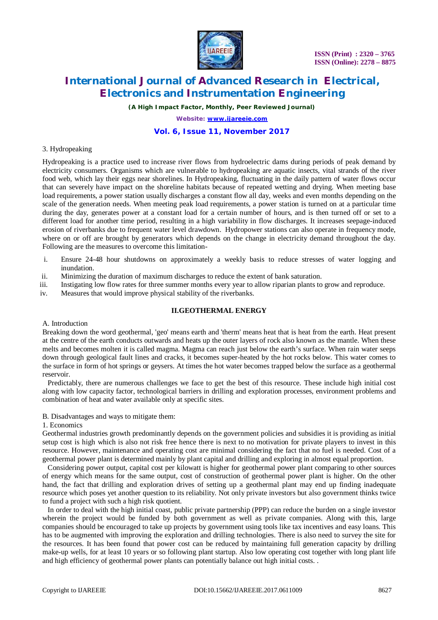

# **International Journal of Advanced Research in Electrical, Electronics and Instrumentation Engineering**

*(A High Impact Factor, Monthly, Peer Reviewed Journal)*

*Website: [www.ijareeie.com](http://www.ijareeie.com)*

# **Vol. 6, Issue 11, November 2017**

### 3. Hydropeaking

Hydropeaking is a practice used to increase river flows from hydroelectric dams during periods of peak demand by electricity consumers. Organisms which are vulnerable to hydropeaking are aquatic insects, vital strands of the river food web, which lay their eggs near shorelines. In Hydropeaking, fluctuating in the daily pattern of water flows occur that can severely have impact on the shoreline habitats because of repeated wetting and drying. When meeting base load requirements, a power station usually discharges a constant flow all day, weeks and even months depending on the scale of the generation needs. When meeting peak load requirements, a power station is turned on at a particular time during the day, generates power at a constant load for a certain number of hours, and is then turned off or set to a different load for another time period, resulting in a high variability in flow discharges. It increases seepage-induced erosion of riverbanks due to frequent water level drawdown. Hydropower stations can also operate in frequency mode, where on or off are brought by generators which depends on the change in electricity demand throughout the day. Following are the measures to overcome this limitation-

- i. Ensure 24-48 hour shutdowns on approximately a weekly basis to reduce stresses of water logging and inundation.
- ii. Minimizing the duration of maximum discharges to reduce the extent of bank saturation.
- iii. Instigating low flow rates for three summer months every year to allow riparian plants to grow and reproduce.
- iv. Measures that would improve physical stability of the riverbanks.

### **II.GEOTHERMAL ENERGY**

#### A. Introduction

Breaking down the word geothermal, 'geo' means earth and 'therm' means heat that is heat from the earth. Heat present at the centre of the earth conducts outwards and heats up the outer layers of rock also known as the mantle. When these melts and becomes molten it is called magma. Magma can reach just below the earth's surface. When rain water seeps down through geological fault lines and cracks, it becomes super-heated by the hot rocks below. This water comes to the surface in form of hot springs or geysers. At times the hot water becomes trapped below the surface as a geothermal reservoir.

 Predictably, there are numerous challenges we face to get the best of this resource. These include high initial cost along with low capacity factor, technological barriers in drilling and exploration processes, environment problems and combination of heat and water available only at specific sites.

#### B. Disadvantages and ways to mitigate them:

#### 1. Economics

Geothermal industries growth predominantly depends on the government policies and subsidies it is providing as initial setup cost is high which is also not risk free hence there is next to no motivation for private players to invest in this resource. However, maintenance and operating cost are minimal considering the fact that no fuel is needed. Cost of a geothermal power plant is determined mainly by plant capital and drilling and exploring in almost equal proportion.

 Considering power output, capital cost per kilowatt is higher for geothermal power plant comparing to other sources of energy which means for the same output, cost of construction of geothermal power plant is higher. On the other hand, the fact that drilling and exploration drives of setting up a geothermal plant may end up finding inadequate resource which poses yet another question to its reliability. Not only private investors but also government thinks twice to fund a project with such a high risk quotient.

 In order to deal with the high initial coast, public private partnership (PPP) can reduce the burden on a single investor wherein the project would be funded by both government as well as private companies. Along with this, large companies should be encouraged to take up projects by government using tools like tax incentives and easy loans. This has to be augmented with improving the exploration and drilling technologies. There is also need to survey the site for the resources. It has been found that power cost can be reduced by maintaining full generation capacity by drilling make-up wells, for at least 10 years or so following plant startup. Also low operating cost together with long plant life and high efficiency of geothermal power plants can potentially balance out high initial costs. .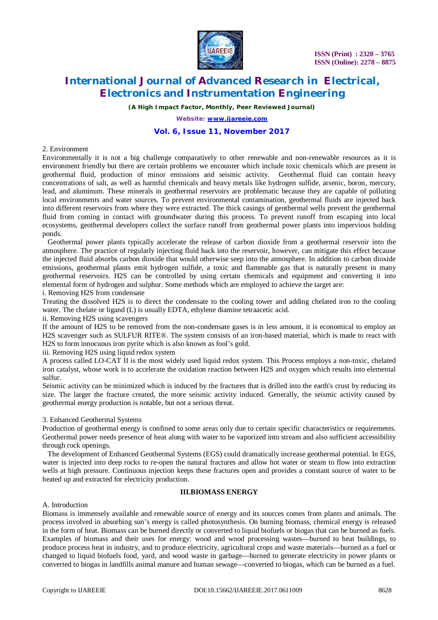

# **International Journal of Advanced Research in Electrical, Electronics and Instrumentation Engineering**

*(A High Impact Factor, Monthly, Peer Reviewed Journal)*

*Website: [www.ijareeie.com](http://www.ijareeie.com)*

# **Vol. 6, Issue 11, November 2017**

#### 2. Environment

Environmentally it is not a big challenge comparatively to other renewable and non-renewable resources as it is environment friendly but there are certain problems we encounter which include toxic chemicals which are present in geothermal fluid, production of minor emissions and seismic activity. Geothermal fluid can contain heavy concentrations of salt, as well as harmful chemicals and heavy metals like hydrogen sulfide, arsenic, boron, mercury, lead, and aluminum. These minerals in geothermal reservoirs are problematic because they are capable of polluting local environments and water sources. To prevent environmental contamination, geothermal fluids are injected back into different reservoirs from where they were extracted. The thick casings of geothermal wells prevent the geothermal fluid from coming in contact with groundwater during this process. To prevent runoff from escaping into local ecosystems, geothermal developers collect the surface runoff from geothermal power plants into impervious holding ponds.

 Geothermal power plants typically accelerate the release of carbon dioxide from a geothermal reservoir into the atmosphere. The practice of regularly injecting fluid back into the reservoir, however, can mitigate this effect because the injected fluid absorbs carbon dioxide that would otherwise seep into the atmosphere. In addition to carbon dioxide emissions, geothermal plants emit hydrogen sulfide, a toxic and flammable gas that is naturally present in many geothermal reservoirs. H2S can be controlled by using certain chemicals and equipment and converting it into elemental form of hydrogen and sulphur. Some methods which are employed to achieve the target are:

i. Removing H2S from condensate

Treating the dissolved H2S is to direct the condensate to the cooling tower and adding chelated iron to the cooling water. The chelate or ligand (L) is usually EDTA, ethylene diamine tetraacetic acid.

ii. Removing H2S using scavengers

If the amount of H2S to be removed from the non-condensate gases is in less amount, it is economical to employ an H2S scavenger such as SULFUR RITE®. The system consists of an iron-based material, which is made to react with H2S to form innocuous iron pyrite which is also known as fool's gold.

iii. Removing H2S using liquid redox system

A process called LO-CAT II is the most widely used liquid redox system. This Process employs a non-toxic, chelated iron catalyst, whose work is to accelerate the oxidation reaction between H2S and oxygen which results into elemental sulfur.

Seismic activity can be minimized which is induced by the fractures that is drilled into the earth's crust by reducing its size. The larger the fracture created, the more seismic activity induced. Generally, the seismic activity caused by geothermal energy production is notable, but not a serious threat.

#### 3. Enhanced Geothermal Systems

Production of geothermal energy is confined to some areas only due to certain specific characteristics or requirements. Geothermal power needs presence of heat along with water to be vaporized into stream and also sufficient accessibility through rock openings.

 The development of Enhanced Geothermal Systems (EGS) could dramatically increase geothermal potential. In EGS, water is injected into deep rocks to re-open the natural fractures and allow hot water or steam to flow into extraction wells at high pressure. Continuous injection keeps these fractures open and provides a constant source of water to be heated up and extracted for electricity production.

# **III.BIOMASS ENERGY**

### A. Introduction

Biomass is immensely available and renewable source of energy and its sources comes from plants and animals. The process involved in absorbing sun's energy is called photosynthesis. On burning biomass, chemical energy is released in the form of heat. Biomass can be burned directly or converted to liquid biofuels or biogas that can be burned as fuels. Examples of biomass and their uses for energy: wood and wood processing wastes—burned to heat buildings, to produce process heat in industry, and to produce electricity, agricultural crops and waste materials—burned as a fuel or changed to liquid biofuels food, yard, and wood waste in garbage—burned to generate electricity in power plants or converted to biogas in landfills animal manure and human sewage—converted to biogas, which can be burned as a fuel.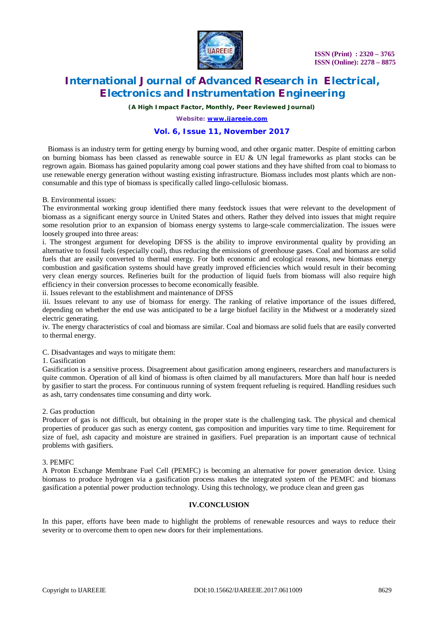

# **International Journal of Advanced Research in Electrical, Electronics and Instrumentation Engineering**

*(A High Impact Factor, Monthly, Peer Reviewed Journal)*

*Website: [www.ijareeie.com](http://www.ijareeie.com)*

# **Vol. 6, Issue 11, November 2017**

 Biomass is an industry term for getting energy by burning wood, and other organic matter. Despite of emitting carbon on burning biomass has been classed as renewable source in EU & UN legal frameworks as plant stocks can be regrown again. Biomass has gained popularity among coal power stations and they have shifted from coal to biomass to use renewable energy generation without wasting existing infrastructure. Biomass includes most plants which are nonconsumable and this type of biomass is specifically called lingo-cellulosic biomass.

#### B. Environmental issues:

The environmental working group identified there many feedstock issues that were relevant to the development of biomass as a significant energy source in United States and others. Rather they delved into issues that might require some resolution prior to an expansion of biomass energy systems to large-scale commercialization. The issues were loosely grouped into three areas:

i. The strongest argument for developing DFSS is the ability to improve environmental quality by providing an alternative to fossil fuels (especially coal), thus reducing the emissions of greenhouse gases. Coal and biomass are solid fuels that are easily converted to thermal energy. For both economic and ecological reasons, new biomass energy combustion and gasification systems should have greatly improved efficiencies which would result in their becoming very clean energy sources. Refineries built for the production of liquid fuels from biomass will also require high efficiency in their conversion processes to become economically feasible.

ii. Issues relevant to the establishment and maintenance of DFSS

iii. Issues relevant to any use of biomass for energy. The ranking of relative importance of the issues differed, depending on whether the end use was anticipated to be a large biofuel facility in the Midwest or a moderately sized electric generating.

iv. The energy characteristics of coal and biomass are similar. Coal and biomass are solid fuels that are easily converted to thermal energy.

C. Disadvantages and ways to mitigate them:

#### 1. Gasification

Gasification is a sensitive process. Disagreement about gasification among engineers, researchers and manufacturers is quite common. Operation of all kind of biomass is often claimed by all manufacturers. More than half hour is needed by gasifier to start the process. For continuous running of system frequent refueling is required. Handling residues such as ash, tarry condensates time consuming and dirty work.

#### 2. Gas production

Producer of gas is not difficult, but obtaining in the proper state is the challenging task. The physical and chemical properties of producer gas such as energy content, gas composition and impurities vary time to time. Requirement for size of fuel, ash capacity and moisture are strained in gasifiers. Fuel preparation is an important cause of technical problems with gasifiers.

#### 3. PEMFC

A Proton Exchange Membrane Fuel Cell (PEMFC) is becoming an alternative for power generation device. Using biomass to produce hydrogen via a gasification process makes the integrated system of the PEMFC and biomass gasification a potential power production technology. Using this technology, we produce clean and green gas

### **IV.CONCLUSION**

In this paper, efforts have been made to highlight the problems of renewable resources and ways to reduce their severity or to overcome them to open new doors for their implementations.